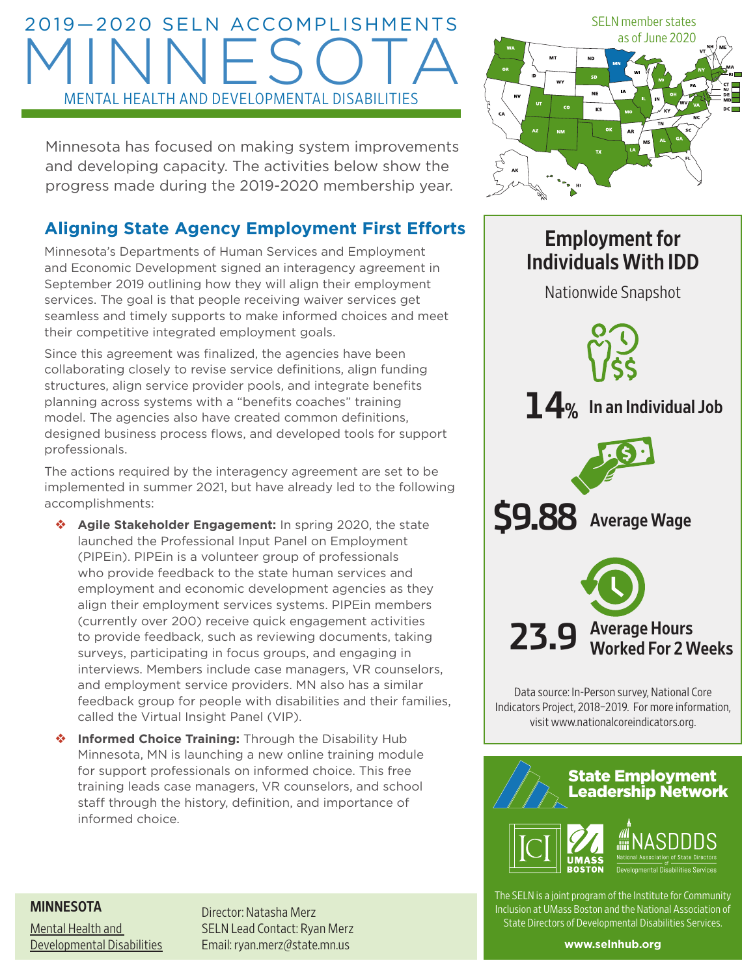# 2019—2020 SELN ACCOMPLISHMENTS MINNESOTA MENTAL HEALTH AND DEVELOPMENTAL DISABILITIES

Minnesota has focused on making system improvements and developing capacity. The activities below show the progress made during the 2019-2020 membership year.

# **Aligning State Agency Employment First Efforts**

Minnesota's Departments of Human Services and Employment and Economic Development signed an interagency agreement in September 2019 outlining how they will align their employment services. The goal is that people receiving waiver services get seamless and timely supports to make informed choices and meet their competitive integrated employment goals.

Since this agreement was finalized, the agencies have been collaborating closely to revise service definitions, align funding structures, align service provider pools, and integrate benefits planning across systems with a "benefits coaches" training model. The agencies also have created common definitions, designed business process flows, and developed tools for support professionals.

The actions required by the interagency agreement are set to be implemented in summer 2021, but have already led to the following accomplishments:

- ❖ **Agile Stakeholder Engagement:** In spring 2020, the state launched the Professional Input Panel on Employment (PIPEin). PIPEin is a volunteer group of professionals who provide feedback to the state human services and employment and economic development agencies as they align their employment services systems. PIPEin members (currently over 200) receive quick engagement activities to provide feedback, such as reviewing documents, taking surveys, participating in focus groups, and engaging in interviews. Members include case managers, VR counselors, and employment service providers. MN also has a similar feedback group for people with disabilities and their families, called the Virtual Insight Panel (VIP).
- ❖ **Informed Choice Training:** Through the Disability Hub Minnesota, MN is launching a new online training module for support professionals on informed choice. This free training leads case managers, VR counselors, and school staff through the history, definition, and importance of informed choice.



# Employment for Individuals With IDD Nationwide Snapshot 23.9 Average Hours<br>Worked For 2 Weeks **14%** In an Individual Job **\$9.88** Average Wage

Data source: In-Person survey, National Core Indicators Project, 2018–2019. For more information, visit [www.nationalcoreindicators.org](http://www.nationalcoreindicators.org).



The SELN is a joint program of the Institute for Community Inclusion at UMass Boston and the National Association of State Directors of Developmental Disabilities Services.

[Mental Health and](http://mn.gov/dhs/people-we-serve/people-with-disabilities/)  [Developmental Disabilities](http://mn.gov/dhs/people-we-serve/people-with-disabilities/)

**MINNESOTA** 

Director: Natasha Merz SELN Lead Contact: Ryan Merz Email: [ryan.merz@state.mn.us](mailto:ryan.merz@state.mn.us)

**[www.selnhub.org](http://www.selnhub.org)**